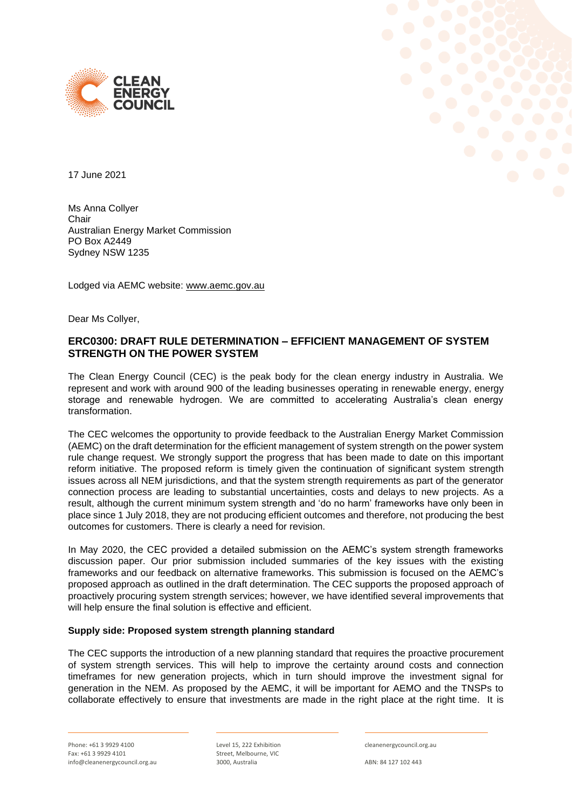



17 June 2021

Ms Anna Collyer Chair Australian Energy Market Commission PO Box A2449 Sydney NSW 1235

Lodged via AEMC website: [www.aemc.gov.au](http://www.aemc.gov.au/)

Dear Ms Collyer,

# **ERC0300: DRAFT RULE DETERMINATION – EFFICIENT MANAGEMENT OF SYSTEM STRENGTH ON THE POWER SYSTEM**

The Clean Energy Council (CEC) is the peak body for the clean energy industry in Australia. We represent and work with around 900 of the leading businesses operating in renewable energy, energy storage and renewable hydrogen. We are committed to accelerating Australia's clean energy transformation.

The CEC welcomes the opportunity to provide feedback to the Australian Energy Market Commission (AEMC) on the draft determination for the efficient management of system strength on the power system rule change request. We strongly support the progress that has been made to date on this important reform initiative. The proposed reform is timely given the continuation of significant system strength issues across all NEM jurisdictions, and that the system strength requirements as part of the generator connection process are leading to substantial uncertainties, costs and delays to new projects. As a result, although the current minimum system strength and 'do no harm' frameworks have only been in place since 1 July 2018, they are not producing efficient outcomes and therefore, not producing the best outcomes for customers. There is clearly a need for revision.

In May 2020, the CEC provided a detailed submission on the AEMC's system strength frameworks discussion paper. Our prior submission included summaries of the key issues with the existing frameworks and our feedback on alternative frameworks. This submission is focused on the AEMC's proposed approach as outlined in the draft determination. The CEC supports the proposed approach of proactively procuring system strength services; however, we have identified several improvements that will help ensure the final solution is effective and efficient.

# **Supply side: Proposed system strength planning standard**

The CEC supports the introduction of a new planning standard that requires the proactive procurement of system strength services. This will help to improve the certainty around costs and connection timeframes for new generation projects, which in turn should improve the investment signal for generation in the NEM. As proposed by the AEMC, it will be important for AEMO and the TNSPs to collaborate effectively to ensure that investments are made in the right place at the right time. It is

Level 15, 222 Exhibition Street, Melbourne, VIC 3000, Australia

cleanenergycouncil.org.au

ABN: 84 127 102 443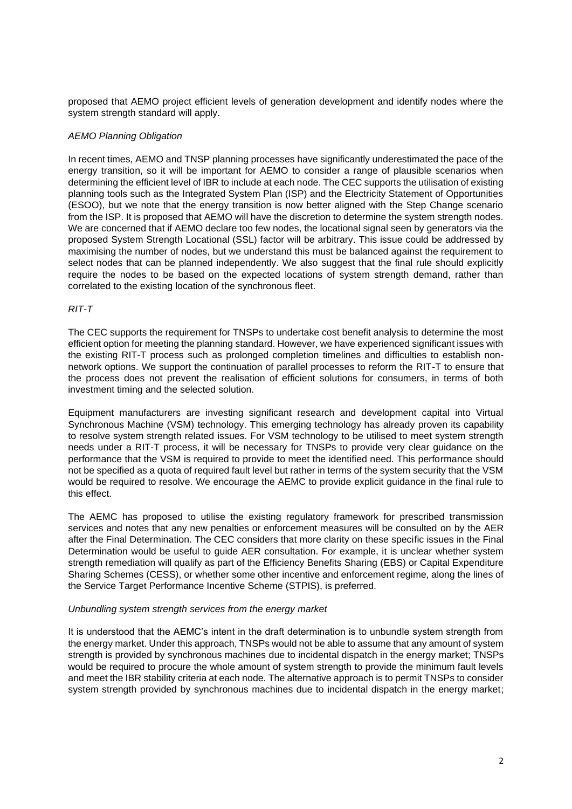proposed that AEMO project efficient levels of generation development and identify nodes where the system strength standard will apply.

### *AEMO Planning Obligation*

In recent times, AEMO and TNSP planning processes have significantly underestimated the pace of the energy transition, so it will be important for AEMO to consider a range of plausible scenarios when determining the efficient level of IBR to include at each node. The CEC supports the utilisation of existing planning tools such as the Integrated System Plan (ISP) and the Electricity Statement of Opportunities (ESOO), but we note that the energy transition is now better aligned with the Step Change scenario from the ISP. It is proposed that AEMO will have the discretion to determine the system strength nodes. We are concerned that if AEMO declare too few nodes, the locational signal seen by generators via the proposed System Strength Locational (SSL) factor will be arbitrary. This issue could be addressed by maximising the number of nodes, but we understand this must be balanced against the requirement to select nodes that can be planned independently. We also suggest that the final rule should explicitly require the nodes to be based on the expected locations of system strength demand, rather than correlated to the existing location of the synchronous fleet.

#### *RIT-T*

The CEC supports the requirement for TNSPs to undertake cost benefit analysis to determine the most efficient option for meeting the planning standard. However, we have experienced significant issues with the existing RIT-T process such as prolonged completion timelines and difficulties to establish nonnetwork options. We support the continuation of parallel processes to reform the RIT-T to ensure that the process does not prevent the realisation of efficient solutions for consumers, in terms of both investment timing and the selected solution.

Equipment manufacturers are investing significant research and development capital into Virtual Synchronous Machine (VSM) technology. This emerging technology has already proven its capability to resolve system strength related issues. For VSM technology to be utilised to meet system strength needs under a RIT-T process, it will be necessary for TNSPs to provide very clear guidance on the performance that the VSM is required to provide to meet the identified need. This performance should not be specified as a quota of required fault level but rather in terms of the system security that the VSM would be required to resolve. We encourage the AEMC to provide explicit guidance in the final rule to this effect.

The AEMC has proposed to utilise the existing regulatory framework for prescribed transmission services and notes that any new penalties or enforcement measures will be consulted on by the AER after the Final Determination. The CEC considers that more clarity on these specific issues in the Final Determination would be useful to guide AER consultation. For example, it is unclear whether system strength remediation will qualify as part of the Efficiency Benefits Sharing (EBS) or Capital Expenditure Sharing Schemes (CESS), or whether some other incentive and enforcement regime, along the lines of the Service Target Performance Incentive Scheme (STPIS), is preferred.

#### *Unbundling system strength services from the energy market*

It is understood that the AEMC's intent in the draft determination is to unbundle system strength from the energy market. Under this approach, TNSPs would not be able to assume that any amount of system strength is provided by synchronous machines due to incidental dispatch in the energy market; TNSPs would be required to procure the whole amount of system strength to provide the minimum fault levels and meet the IBR stability criteria at each node. The alternative approach is to permit TNSPs to consider system strength provided by synchronous machines due to incidental dispatch in the energy market;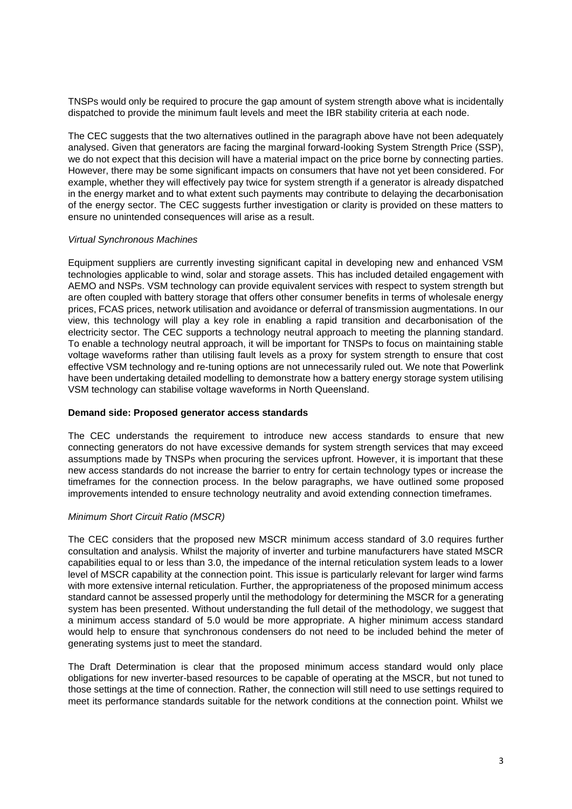TNSPs would only be required to procure the gap amount of system strength above what is incidentally dispatched to provide the minimum fault levels and meet the IBR stability criteria at each node.

The CEC suggests that the two alternatives outlined in the paragraph above have not been adequately analysed. Given that generators are facing the marginal forward-looking System Strength Price (SSP), we do not expect that this decision will have a material impact on the price borne by connecting parties. However, there may be some significant impacts on consumers that have not yet been considered. For example, whether they will effectively pay twice for system strength if a generator is already dispatched in the energy market and to what extent such payments may contribute to delaying the decarbonisation of the energy sector. The CEC suggests further investigation or clarity is provided on these matters to ensure no unintended consequences will arise as a result.

### *Virtual Synchronous Machines*

Equipment suppliers are currently investing significant capital in developing new and enhanced VSM technologies applicable to wind, solar and storage assets. This has included detailed engagement with AEMO and NSPs. VSM technology can provide equivalent services with respect to system strength but are often coupled with battery storage that offers other consumer benefits in terms of wholesale energy prices, FCAS prices, network utilisation and avoidance or deferral of transmission augmentations. In our view, this technology will play a key role in enabling a rapid transition and decarbonisation of the electricity sector. The CEC supports a technology neutral approach to meeting the planning standard. To enable a technology neutral approach, it will be important for TNSPs to focus on maintaining stable voltage waveforms rather than utilising fault levels as a proxy for system strength to ensure that cost effective VSM technology and re-tuning options are not unnecessarily ruled out. We note that Powerlink have been undertaking detailed modelling to demonstrate how a battery energy storage system utilising VSM technology can stabilise voltage waveforms in North Queensland.

#### **Demand side: Proposed generator access standards**

The CEC understands the requirement to introduce new access standards to ensure that new connecting generators do not have excessive demands for system strength services that may exceed assumptions made by TNSPs when procuring the services upfront. However, it is important that these new access standards do not increase the barrier to entry for certain technology types or increase the timeframes for the connection process. In the below paragraphs, we have outlined some proposed improvements intended to ensure technology neutrality and avoid extending connection timeframes.

# *Minimum Short Circuit Ratio (MSCR)*

The CEC considers that the proposed new MSCR minimum access standard of 3.0 requires further consultation and analysis. Whilst the majority of inverter and turbine manufacturers have stated MSCR capabilities equal to or less than 3.0, the impedance of the internal reticulation system leads to a lower level of MSCR capability at the connection point. This issue is particularly relevant for larger wind farms with more extensive internal reticulation. Further, the appropriateness of the proposed minimum access standard cannot be assessed properly until the methodology for determining the MSCR for a generating system has been presented. Without understanding the full detail of the methodology, we suggest that a minimum access standard of 5.0 would be more appropriate. A higher minimum access standard would help to ensure that synchronous condensers do not need to be included behind the meter of generating systems just to meet the standard.

The Draft Determination is clear that the proposed minimum access standard would only place obligations for new inverter-based resources to be capable of operating at the MSCR, but not tuned to those settings at the time of connection. Rather, the connection will still need to use settings required to meet its performance standards suitable for the network conditions at the connection point. Whilst we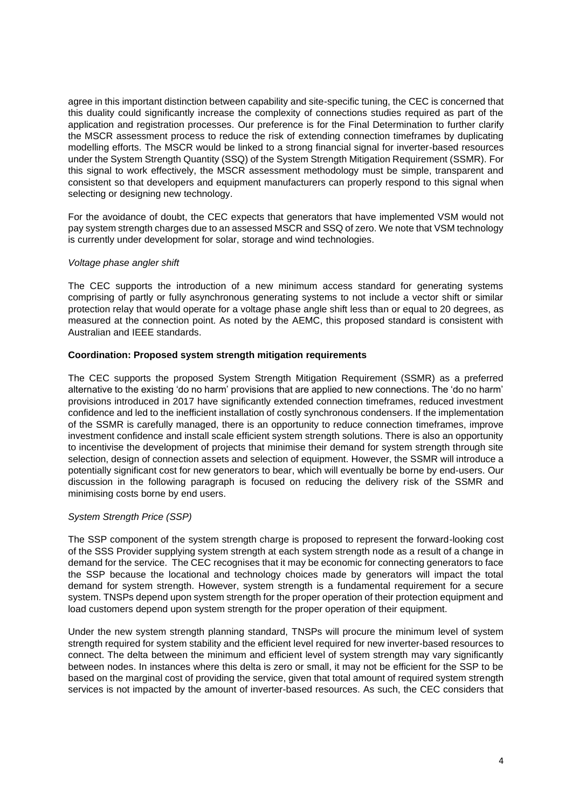agree in this important distinction between capability and site-specific tuning, the CEC is concerned that this duality could significantly increase the complexity of connections studies required as part of the application and registration processes. Our preference is for the Final Determination to further clarify the MSCR assessment process to reduce the risk of extending connection timeframes by duplicating modelling efforts. The MSCR would be linked to a strong financial signal for inverter-based resources under the System Strength Quantity (SSQ) of the System Strength Mitigation Requirement (SSMR). For this signal to work effectively, the MSCR assessment methodology must be simple, transparent and consistent so that developers and equipment manufacturers can properly respond to this signal when selecting or designing new technology.

For the avoidance of doubt, the CEC expects that generators that have implemented VSM would not pay system strength charges due to an assessed MSCR and SSQ of zero. We note that VSM technology is currently under development for solar, storage and wind technologies.

### *Voltage phase angler shift*

The CEC supports the introduction of a new minimum access standard for generating systems comprising of partly or fully asynchronous generating systems to not include a vector shift or similar protection relay that would operate for a voltage phase angle shift less than or equal to 20 degrees, as measured at the connection point. As noted by the AEMC, this proposed standard is consistent with Australian and IEEE standards.

### **Coordination: Proposed system strength mitigation requirements**

The CEC supports the proposed System Strength Mitigation Requirement (SSMR) as a preferred alternative to the existing 'do no harm' provisions that are applied to new connections. The 'do no harm' provisions introduced in 2017 have significantly extended connection timeframes, reduced investment confidence and led to the inefficient installation of costly synchronous condensers. If the implementation of the SSMR is carefully managed, there is an opportunity to reduce connection timeframes, improve investment confidence and install scale efficient system strength solutions. There is also an opportunity to incentivise the development of projects that minimise their demand for system strength through site selection, design of connection assets and selection of equipment. However, the SSMR will introduce a potentially significant cost for new generators to bear, which will eventually be borne by end-users. Our discussion in the following paragraph is focused on reducing the delivery risk of the SSMR and minimising costs borne by end users.

# *System Strength Price (SSP)*

The SSP component of the system strength charge is proposed to represent the forward-looking cost of the SSS Provider supplying system strength at each system strength node as a result of a change in demand for the service. The CEC recognises that it may be economic for connecting generators to face the SSP because the locational and technology choices made by generators will impact the total demand for system strength. However, system strength is a fundamental requirement for a secure system. TNSPs depend upon system strength for the proper operation of their protection equipment and load customers depend upon system strength for the proper operation of their equipment.

Under the new system strength planning standard, TNSPs will procure the minimum level of system strength required for system stability and the efficient level required for new inverter-based resources to connect. The delta between the minimum and efficient level of system strength may vary significantly between nodes. In instances where this delta is zero or small, it may not be efficient for the SSP to be based on the marginal cost of providing the service, given that total amount of required system strength services is not impacted by the amount of inverter-based resources. As such, the CEC considers that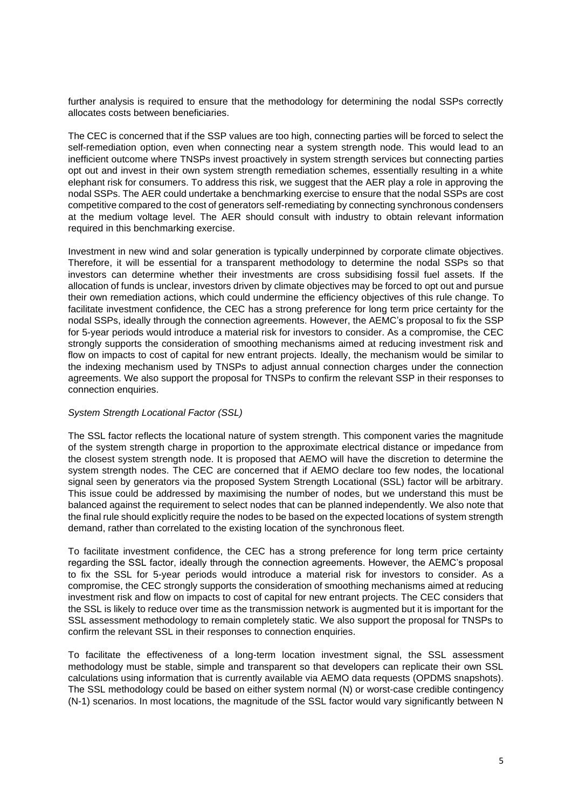further analysis is required to ensure that the methodology for determining the nodal SSPs correctly allocates costs between beneficiaries.

The CEC is concerned that if the SSP values are too high, connecting parties will be forced to select the self-remediation option, even when connecting near a system strength node. This would lead to an inefficient outcome where TNSPs invest proactively in system strength services but connecting parties opt out and invest in their own system strength remediation schemes, essentially resulting in a white elephant risk for consumers. To address this risk, we suggest that the AER play a role in approving the nodal SSPs. The AER could undertake a benchmarking exercise to ensure that the nodal SSPs are cost competitive compared to the cost of generators self-remediating by connecting synchronous condensers at the medium voltage level. The AER should consult with industry to obtain relevant information required in this benchmarking exercise.

Investment in new wind and solar generation is typically underpinned by corporate climate objectives. Therefore, it will be essential for a transparent methodology to determine the nodal SSPs so that investors can determine whether their investments are cross subsidising fossil fuel assets. If the allocation of funds is unclear, investors driven by climate objectives may be forced to opt out and pursue their own remediation actions, which could undermine the efficiency objectives of this rule change. To facilitate investment confidence, the CEC has a strong preference for long term price certainty for the nodal SSPs, ideally through the connection agreements. However, the AEMC's proposal to fix the SSP for 5-year periods would introduce a material risk for investors to consider. As a compromise, the CEC strongly supports the consideration of smoothing mechanisms aimed at reducing investment risk and flow on impacts to cost of capital for new entrant projects. Ideally, the mechanism would be similar to the indexing mechanism used by TNSPs to adjust annual connection charges under the connection agreements. We also support the proposal for TNSPs to confirm the relevant SSP in their responses to connection enquiries.

# *System Strength Locational Factor (SSL)*

The SSL factor reflects the locational nature of system strength. This component varies the magnitude of the system strength charge in proportion to the approximate electrical distance or impedance from the closest system strength node. It is proposed that AEMO will have the discretion to determine the system strength nodes. The CEC are concerned that if AEMO declare too few nodes, the locational signal seen by generators via the proposed System Strength Locational (SSL) factor will be arbitrary. This issue could be addressed by maximising the number of nodes, but we understand this must be balanced against the requirement to select nodes that can be planned independently. We also note that the final rule should explicitly require the nodes to be based on the expected locations of system strength demand, rather than correlated to the existing location of the synchronous fleet.

To facilitate investment confidence, the CEC has a strong preference for long term price certainty regarding the SSL factor, ideally through the connection agreements. However, the AEMC's proposal to fix the SSL for 5-year periods would introduce a material risk for investors to consider. As a compromise, the CEC strongly supports the consideration of smoothing mechanisms aimed at reducing investment risk and flow on impacts to cost of capital for new entrant projects. The CEC considers that the SSL is likely to reduce over time as the transmission network is augmented but it is important for the SSL assessment methodology to remain completely static. We also support the proposal for TNSPs to confirm the relevant SSL in their responses to connection enquiries.

To facilitate the effectiveness of a long-term location investment signal, the SSL assessment methodology must be stable, simple and transparent so that developers can replicate their own SSL calculations using information that is currently available via AEMO data requests (OPDMS snapshots). The SSL methodology could be based on either system normal (N) or worst-case credible contingency (N-1) scenarios. In most locations, the magnitude of the SSL factor would vary significantly between N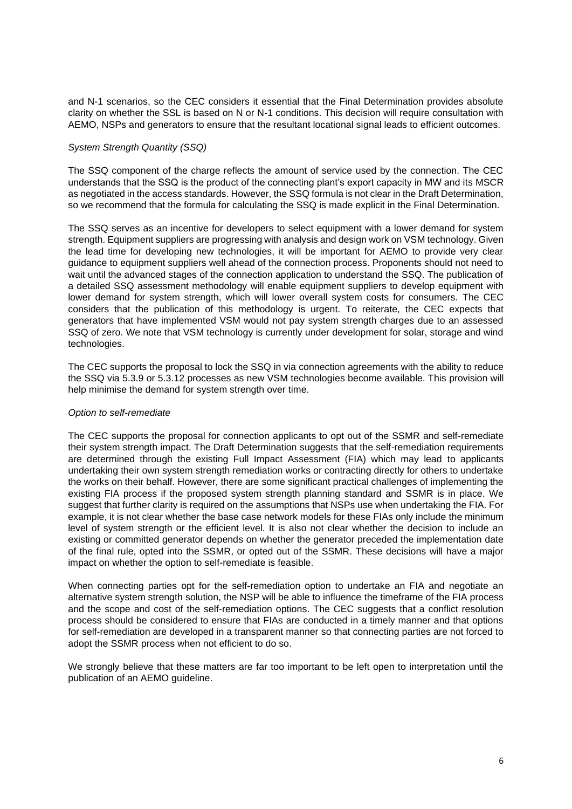and N-1 scenarios, so the CEC considers it essential that the Final Determination provides absolute clarity on whether the SSL is based on N or N-1 conditions. This decision will require consultation with AEMO, NSPs and generators to ensure that the resultant locational signal leads to efficient outcomes.

### *System Strength Quantity (SSQ)*

The SSQ component of the charge reflects the amount of service used by the connection. The CEC understands that the SSQ is the product of the connecting plant's export capacity in MW and its MSCR as negotiated in the access standards. However, the SSQ formula is not clear in the Draft Determination, so we recommend that the formula for calculating the SSQ is made explicit in the Final Determination.

The SSQ serves as an incentive for developers to select equipment with a lower demand for system strength. Equipment suppliers are progressing with analysis and design work on VSM technology. Given the lead time for developing new technologies, it will be important for AEMO to provide very clear guidance to equipment suppliers well ahead of the connection process. Proponents should not need to wait until the advanced stages of the connection application to understand the SSQ. The publication of a detailed SSQ assessment methodology will enable equipment suppliers to develop equipment with lower demand for system strength, which will lower overall system costs for consumers. The CEC considers that the publication of this methodology is urgent. To reiterate, the CEC expects that generators that have implemented VSM would not pay system strength charges due to an assessed SSQ of zero. We note that VSM technology is currently under development for solar, storage and wind technologies.

The CEC supports the proposal to lock the SSQ in via connection agreements with the ability to reduce the SSQ via 5.3.9 or 5.3.12 processes as new VSM technologies become available. This provision will help minimise the demand for system strength over time.

#### *Option to self-remediate*

The CEC supports the proposal for connection applicants to opt out of the SSMR and self-remediate their system strength impact. The Draft Determination suggests that the self-remediation requirements are determined through the existing Full Impact Assessment (FIA) which may lead to applicants undertaking their own system strength remediation works or contracting directly for others to undertake the works on their behalf. However, there are some significant practical challenges of implementing the existing FIA process if the proposed system strength planning standard and SSMR is in place. We suggest that further clarity is required on the assumptions that NSPs use when undertaking the FIA. For example, it is not clear whether the base case network models for these FIAs only include the minimum level of system strength or the efficient level. It is also not clear whether the decision to include an existing or committed generator depends on whether the generator preceded the implementation date of the final rule, opted into the SSMR, or opted out of the SSMR. These decisions will have a major impact on whether the option to self-remediate is feasible.

When connecting parties opt for the self-remediation option to undertake an FIA and negotiate an alternative system strength solution, the NSP will be able to influence the timeframe of the FIA process and the scope and cost of the self-remediation options. The CEC suggests that a conflict resolution process should be considered to ensure that FIAs are conducted in a timely manner and that options for self-remediation are developed in a transparent manner so that connecting parties are not forced to adopt the SSMR process when not efficient to do so.

We strongly believe that these matters are far too important to be left open to interpretation until the publication of an AEMO guideline.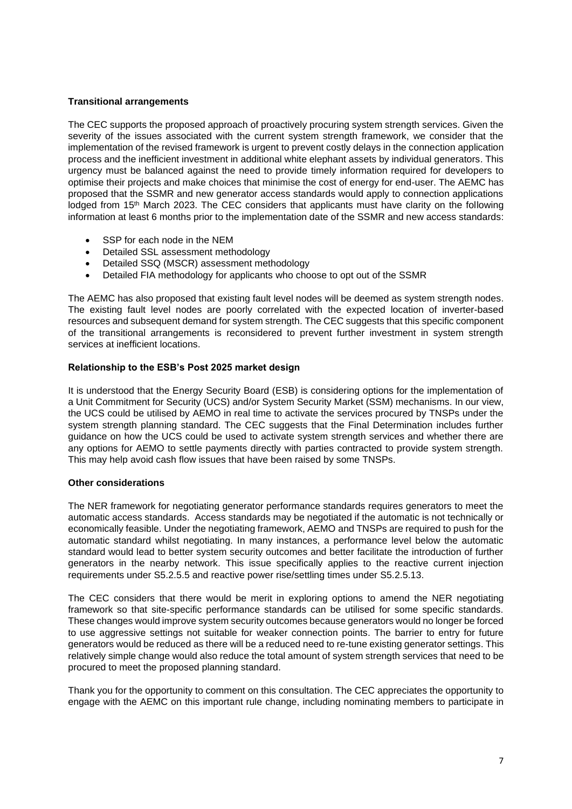# **Transitional arrangements**

The CEC supports the proposed approach of proactively procuring system strength services. Given the severity of the issues associated with the current system strength framework, we consider that the implementation of the revised framework is urgent to prevent costly delays in the connection application process and the inefficient investment in additional white elephant assets by individual generators. This urgency must be balanced against the need to provide timely information required for developers to optimise their projects and make choices that minimise the cost of energy for end-user. The AEMC has proposed that the SSMR and new generator access standards would apply to connection applications lodged from 15<sup>th</sup> March 2023. The CEC considers that applicants must have clarity on the following information at least 6 months prior to the implementation date of the SSMR and new access standards:

- SSP for each node in the NEM
- Detailed SSL assessment methodology
- Detailed SSQ (MSCR) assessment methodology
- Detailed FIA methodology for applicants who choose to opt out of the SSMR

The AEMC has also proposed that existing fault level nodes will be deemed as system strength nodes. The existing fault level nodes are poorly correlated with the expected location of inverter-based resources and subsequent demand for system strength. The CEC suggests that this specific component of the transitional arrangements is reconsidered to prevent further investment in system strength services at inefficient locations.

# **Relationship to the ESB's Post 2025 market design**

It is understood that the Energy Security Board (ESB) is considering options for the implementation of a Unit Commitment for Security (UCS) and/or System Security Market (SSM) mechanisms. In our view, the UCS could be utilised by AEMO in real time to activate the services procured by TNSPs under the system strength planning standard. The CEC suggests that the Final Determination includes further guidance on how the UCS could be used to activate system strength services and whether there are any options for AEMO to settle payments directly with parties contracted to provide system strength. This may help avoid cash flow issues that have been raised by some TNSPs.

# **Other considerations**

The NER framework for negotiating generator performance standards requires generators to meet the automatic access standards. Access standards may be negotiated if the automatic is not technically or economically feasible. Under the negotiating framework, AEMO and TNSPs are required to push for the automatic standard whilst negotiating. In many instances, a performance level below the automatic standard would lead to better system security outcomes and better facilitate the introduction of further generators in the nearby network. This issue specifically applies to the reactive current injection requirements under S5.2.5.5 and reactive power rise/settling times under S5.2.5.13.

The CEC considers that there would be merit in exploring options to amend the NER negotiating framework so that site-specific performance standards can be utilised for some specific standards. These changes would improve system security outcomes because generators would no longer be forced to use aggressive settings not suitable for weaker connection points. The barrier to entry for future generators would be reduced as there will be a reduced need to re-tune existing generator settings. This relatively simple change would also reduce the total amount of system strength services that need to be procured to meet the proposed planning standard.

Thank you for the opportunity to comment on this consultation. The CEC appreciates the opportunity to engage with the AEMC on this important rule change, including nominating members to participate in